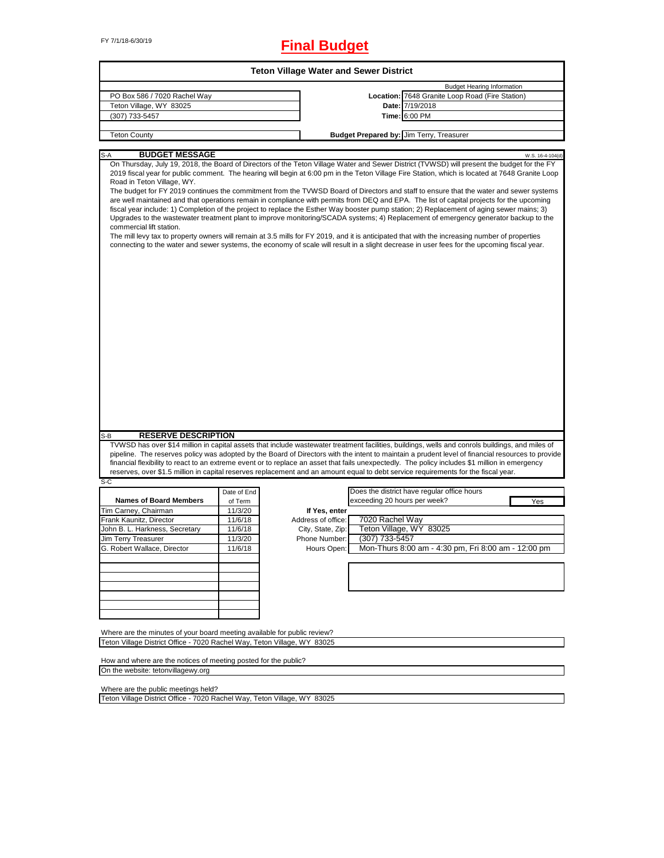# FY 7/1/18-6/30/19 **Final Budget**

| On Thursday, July 19, 2018, the Board of Directors of the Teton Village Water and Sewer District (TVWSD) will present the budget for the FY<br>2019 fiscal year for public comment. The hearing will begin at 6:00 pm in the Teton Village Fire Station, which is located at 7648 Granite Loop<br>The budget for FY 2019 continues the commitment from the TVWSD Board of Directors and staff to ensure that the water and sewer systems<br>are well maintained and that operations remain in compliance with permits from DEQ and EPA. The list of capital projects for the upcoming<br>fiscal year include: 1) Completion of the project to replace the Esther Way booster pump station; 2) Replacement of aging sewer mains; 3)<br>Upgrades to the wastewater treatment plant to improve monitoring/SCADA systems; 4) Replacement of emergency generator backup to the<br>The mill levy tax to property owners will remain at 3.5 mills for FY 2019, and it is anticipated that with the increasing number of properties<br>connecting to the water and sewer systems, the economy of scale will result in a slight decrease in user fees for the upcoming fiscal year. |                                                                |                    | Location: 7648 Granite Loop Road (Fire Station)<br>Date: 7/19/2018<br>Time: 6:00 PM<br>Budget Prepared by: Jim Terry, Treasurer | <b>Budget Hearing Information</b>                                                                                                                                        | W.S. 16-4-104(d)                                    |
|----------------------------------------------------------------------------------------------------------------------------------------------------------------------------------------------------------------------------------------------------------------------------------------------------------------------------------------------------------------------------------------------------------------------------------------------------------------------------------------------------------------------------------------------------------------------------------------------------------------------------------------------------------------------------------------------------------------------------------------------------------------------------------------------------------------------------------------------------------------------------------------------------------------------------------------------------------------------------------------------------------------------------------------------------------------------------------------------------------------------------------------------------------------------------|----------------------------------------------------------------|--------------------|---------------------------------------------------------------------------------------------------------------------------------|--------------------------------------------------------------------------------------------------------------------------------------------------------------------------|-----------------------------------------------------|
|                                                                                                                                                                                                                                                                                                                                                                                                                                                                                                                                                                                                                                                                                                                                                                                                                                                                                                                                                                                                                                                                                                                                                                            |                                                                |                    |                                                                                                                                 |                                                                                                                                                                          |                                                     |
|                                                                                                                                                                                                                                                                                                                                                                                                                                                                                                                                                                                                                                                                                                                                                                                                                                                                                                                                                                                                                                                                                                                                                                            |                                                                |                    |                                                                                                                                 |                                                                                                                                                                          |                                                     |
|                                                                                                                                                                                                                                                                                                                                                                                                                                                                                                                                                                                                                                                                                                                                                                                                                                                                                                                                                                                                                                                                                                                                                                            |                                                                |                    |                                                                                                                                 |                                                                                                                                                                          |                                                     |
|                                                                                                                                                                                                                                                                                                                                                                                                                                                                                                                                                                                                                                                                                                                                                                                                                                                                                                                                                                                                                                                                                                                                                                            |                                                                |                    |                                                                                                                                 |                                                                                                                                                                          |                                                     |
|                                                                                                                                                                                                                                                                                                                                                                                                                                                                                                                                                                                                                                                                                                                                                                                                                                                                                                                                                                                                                                                                                                                                                                            |                                                                |                    |                                                                                                                                 |                                                                                                                                                                          |                                                     |
|                                                                                                                                                                                                                                                                                                                                                                                                                                                                                                                                                                                                                                                                                                                                                                                                                                                                                                                                                                                                                                                                                                                                                                            |                                                                |                    |                                                                                                                                 |                                                                                                                                                                          |                                                     |
|                                                                                                                                                                                                                                                                                                                                                                                                                                                                                                                                                                                                                                                                                                                                                                                                                                                                                                                                                                                                                                                                                                                                                                            |                                                                |                    |                                                                                                                                 |                                                                                                                                                                          |                                                     |
| TVWSD has over \$14 million in capital assets that include wastewater treatment facilities, buildings, wells and conrols buildings, and miles of                                                                                                                                                                                                                                                                                                                                                                                                                                                                                                                                                                                                                                                                                                                                                                                                                                                                                                                                                                                                                           |                                                                |                    |                                                                                                                                 |                                                                                                                                                                          |                                                     |
| pipeline. The reserves policy was adopted by the Board of Directors with the intent to maintain a prudent level of financial resources to provide<br>financial flexibility to react to an extreme event or to replace an asset that fails unexpectedly. The policy includes \$1 million in emergency<br>reserves, over \$1.5 million in capital reserves replacement and an amount equal to debt service requirements for the fiscal year.                                                                                                                                                                                                                                                                                                                                                                                                                                                                                                                                                                                                                                                                                                                                 |                                                                |                    |                                                                                                                                 |                                                                                                                                                                          |                                                     |
| Date of End                                                                                                                                                                                                                                                                                                                                                                                                                                                                                                                                                                                                                                                                                                                                                                                                                                                                                                                                                                                                                                                                                                                                                                |                                                                |                    | Does the district have regular office hours                                                                                     |                                                                                                                                                                          |                                                     |
|                                                                                                                                                                                                                                                                                                                                                                                                                                                                                                                                                                                                                                                                                                                                                                                                                                                                                                                                                                                                                                                                                                                                                                            |                                                                |                    |                                                                                                                                 |                                                                                                                                                                          | Yes                                                 |
|                                                                                                                                                                                                                                                                                                                                                                                                                                                                                                                                                                                                                                                                                                                                                                                                                                                                                                                                                                                                                                                                                                                                                                            | If Yes, enter                                                  |                    |                                                                                                                                 |                                                                                                                                                                          |                                                     |
|                                                                                                                                                                                                                                                                                                                                                                                                                                                                                                                                                                                                                                                                                                                                                                                                                                                                                                                                                                                                                                                                                                                                                                            |                                                                |                    |                                                                                                                                 |                                                                                                                                                                          |                                                     |
|                                                                                                                                                                                                                                                                                                                                                                                                                                                                                                                                                                                                                                                                                                                                                                                                                                                                                                                                                                                                                                                                                                                                                                            | City, State, Zip:                                              |                    |                                                                                                                                 |                                                                                                                                                                          |                                                     |
|                                                                                                                                                                                                                                                                                                                                                                                                                                                                                                                                                                                                                                                                                                                                                                                                                                                                                                                                                                                                                                                                                                                                                                            | Phone Number:                                                  |                    |                                                                                                                                 |                                                                                                                                                                          |                                                     |
|                                                                                                                                                                                                                                                                                                                                                                                                                                                                                                                                                                                                                                                                                                                                                                                                                                                                                                                                                                                                                                                                                                                                                                            | Hours Open:                                                    |                    |                                                                                                                                 |                                                                                                                                                                          |                                                     |
|                                                                                                                                                                                                                                                                                                                                                                                                                                                                                                                                                                                                                                                                                                                                                                                                                                                                                                                                                                                                                                                                                                                                                                            |                                                                |                    |                                                                                                                                 |                                                                                                                                                                          |                                                     |
|                                                                                                                                                                                                                                                                                                                                                                                                                                                                                                                                                                                                                                                                                                                                                                                                                                                                                                                                                                                                                                                                                                                                                                            | of Term<br>11/3/20<br>11/6/18<br>11/6/18<br>11/3/20<br>11/6/18 | Address of office: |                                                                                                                                 | exceeding 20 hours per week?<br>7020 Rachel Way<br>Teton Village, WY 83025<br>(307) 733-5457<br>Where are the minutes of your board meeting available for public review? | Mon-Thurs 8:00 am - 4:30 pm, Fri 8:00 am - 12:00 pm |

How and where are the notices of meeting posted for the public? On the website: tetonvillagewy.org

Where are the public meetings held?

Teton Village District Office - 7020 Rachel Way, Teton Village, WY 83025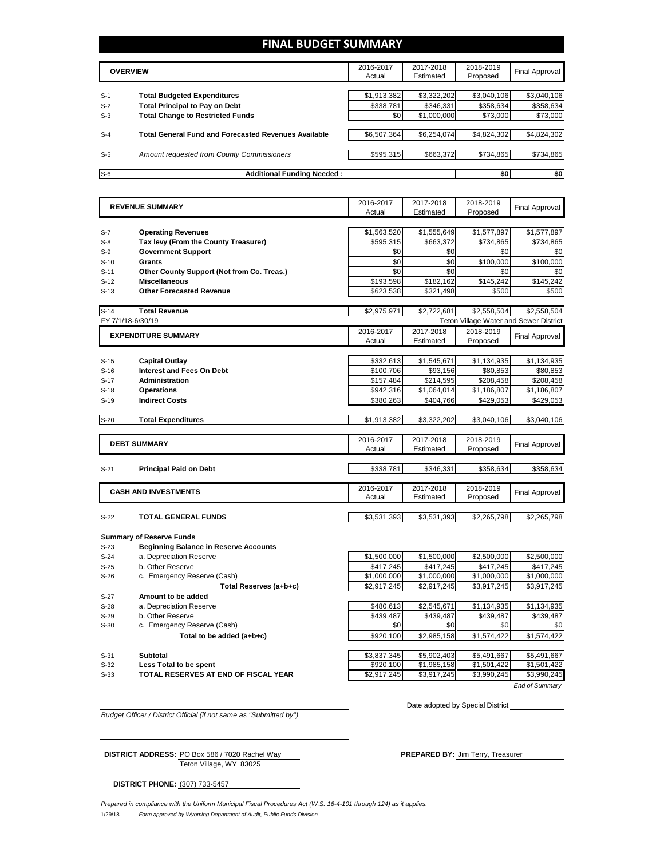# **FINAL BUDGET SUMMARY**

|       | <b>OVERVIEW</b>                                             | 2016-2017<br>Actual | 2017-2018<br>Estimated | 2018-2019<br>Proposed | Final Approval |
|-------|-------------------------------------------------------------|---------------------|------------------------|-----------------------|----------------|
|       |                                                             |                     |                        |                       |                |
| $S-1$ | <b>Total Budgeted Expenditures</b>                          | \$1,913,382         | \$3,322,202            | \$3,040,106           | \$3,040,106    |
| $S-2$ | <b>Total Principal to Pay on Debt</b>                       | \$338,781           | \$346.331              | \$358,634             | \$358,634      |
| $S-3$ | <b>Total Change to Restricted Funds</b>                     | \$0                 | \$1,000,000            | \$73,000              | \$73,000       |
|       |                                                             |                     |                        |                       |                |
| $S-4$ | <b>Total General Fund and Forecasted Revenues Available</b> | \$6,507,364         | \$6,254,074            | \$4,824,302           | \$4,824,302    |
|       |                                                             |                     |                        |                       |                |
| $S-5$ | Amount requested from County Commissioners                  | \$595,315           | \$663,372              | \$734,865             | \$734,865      |
|       |                                                             |                     |                        |                       |                |
| $S-6$ | <b>Additional Funding Needed:</b>                           |                     |                        | \$0                   | \$0            |

| <b>REVENUE SUMMARY</b> |                                              | 2016-2017   | 2017-2018   | 2018-2019                              | <b>Final Approval</b> |
|------------------------|----------------------------------------------|-------------|-------------|----------------------------------------|-----------------------|
|                        |                                              | Actual      | Estimated   | Proposed                               |                       |
|                        |                                              |             |             |                                        |                       |
| $S-7$                  | <b>Operating Revenues</b>                    | \$1,563,520 | \$1,555,649 | \$1,577,897                            | \$1,577,897           |
| $S-8$                  | Tax levy (From the County Treasurer)         | \$595,315   | \$663,372   | \$734,865                              | \$734,865             |
| $S-9$                  | <b>Government Support</b>                    | \$0<br>\$0  | \$0         | \$0                                    | \$0                   |
| $S-10$                 | Grants                                       |             | \$0         | \$100,000                              | \$100,000             |
| $S-11$                 | Other County Support (Not from Co. Treas.)   | \$0         | \$0         | \$0                                    | \$0                   |
| $S-12$                 | <b>Miscellaneous</b>                         | \$193,598   | \$182,162   | \$145,242                              | \$145,242             |
| $S-13$                 | <b>Other Forecasted Revenue</b>              | \$623,538   | \$321,498   | \$500                                  | \$500                 |
| $S-14$                 | <b>Total Revenue</b>                         | \$2,975,971 | \$2,722,681 | \$2,558,504                            | \$2,558,504           |
|                        | FY 7/1/18-6/30/19                            |             |             | Teton Village Water and Sewer District |                       |
|                        | <b>EXPENDITURE SUMMARY</b>                   | 2016-2017   | 2017-2018   | 2018-2019                              | <b>Final Approval</b> |
|                        |                                              | Actual      | Estimated   | Proposed                               |                       |
|                        |                                              |             |             |                                        |                       |
| $S-15$                 | <b>Capital Outlay</b>                        | \$332,613   | \$1,545,671 | \$1,134,935                            | \$1,134,935           |
| $S-16$                 | <b>Interest and Fees On Debt</b>             | \$100,706   | \$93,156    | \$80,853                               | \$80,853              |
| $S-17$                 | <b>Administration</b>                        | \$157,484   | \$214,595   | \$208,458                              | \$208,458             |
| $S-18$                 | <b>Operations</b>                            | \$942,316   | \$1,064,014 | \$1,186,807                            | \$1,186,807           |
| $S-19$                 | <b>Indirect Costs</b>                        | \$380,263   | \$404,766   | \$429,053                              | \$429,053             |
|                        |                                              |             |             |                                        |                       |
| $S-20$                 | <b>Total Expenditures</b>                    | \$1,913,382 | \$3,322,202 | \$3,040,106                            | \$3,040,106           |
|                        |                                              |             |             |                                        |                       |
|                        | <b>DEBT SUMMARY</b>                          | 2016-2017   | 2017-2018   | 2018-2019                              | <b>Final Approval</b> |
|                        |                                              | Actual      | Estimated   | Proposed                               |                       |
|                        |                                              |             |             |                                        |                       |
| $S-21$                 | <b>Principal Paid on Debt</b>                | \$338,781   | \$346,331   | \$358,634                              | \$358,634             |
|                        |                                              |             |             |                                        |                       |
|                        | <b>CASH AND INVESTMENTS</b>                  | 2016-2017   | 2017-2018   | 2018-2019                              | <b>Final Approval</b> |
|                        |                                              | Actual      | Estimated   | Proposed                               |                       |
|                        |                                              |             |             |                                        |                       |
| $S-22$                 | <b>TOTAL GENERAL FUNDS</b>                   | \$3,531,393 | \$3,531,393 | \$2,265,798                            | \$2,265,798           |
|                        |                                              |             |             |                                        |                       |
|                        | <b>Summary of Reserve Funds</b>              |             |             |                                        |                       |
| $S-23$                 | <b>Beginning Balance in Reserve Accounts</b> |             |             |                                        |                       |
| $S-24$                 | a. Depreciation Reserve                      | \$1,500,000 | \$1,500,000 | \$2,500,000                            | \$2,500,000           |
| $S-25$                 | b. Other Reserve                             | \$417,245   | \$417,245   | \$417,245                              | \$417,245             |
| $S-26$                 | c. Emergency Reserve (Cash)                  | \$1,000,000 | \$1,000,000 | \$1,000,000                            | \$1,000,000           |
|                        | Total Reserves (a+b+c)                       | \$2,917,245 | \$2,917,245 | \$3,917,245                            | \$3,917,245           |
| $S-27$                 | Amount to be added                           |             |             |                                        |                       |

- 
- S-29 b. Other Reserve \$439,487
	-
	-

- S-32 **Less Total to be spent** \$9.99 **Less Total to be spent**
- S-33 **TOTAL RESERVES AT END OF FISCAL YEAR \$2,**

S-28 a. Depreciation Reserve **1898**<br>S-29 b. Other Reserve **1898 b. Other Reserve b. Other Reserve b. Other Reserve** S-30 c. Emergency Reserve (Cash) \$0 \$0 \$0 \$0 **Total to be added (a+b+c)** \$920,100 \$2,985,158 \$1,574,422 \$1,574,422 S-31 **Subtotal \$1,807 \$5,491,667** \$5,491,667 \$5,491,667 \$5,491,667 \$5,491,667 \$5,491,667

| \$920.100 | \$1,985,158 | \$1.501.422 | \$1.501.422           |
|-----------|-------------|-------------|-----------------------|
| ,917,245  | \$3,917,245 | \$3,990,245 | \$3.990.245           |
|           |             |             | <b>End of Summary</b> |

*Budget Officer / District Official (if not same as "Submitted by")*

Date adopted by Special District

Teton Village, WY 83025 **DISTRICT ADDRESS:** PO Box 586 / 7020 Rachel Way **PREPARED BY:** Jim Terry, Treasurer

**DISTRICT PHONE:** (307) 733-5457

1/29/18 *Form approved by Wyoming Department of Audit, Public Funds Division Prepared in compliance with the Uniform Municipal Fiscal Procedures Act (W.S. 16-4-101 through 124) as it applies.*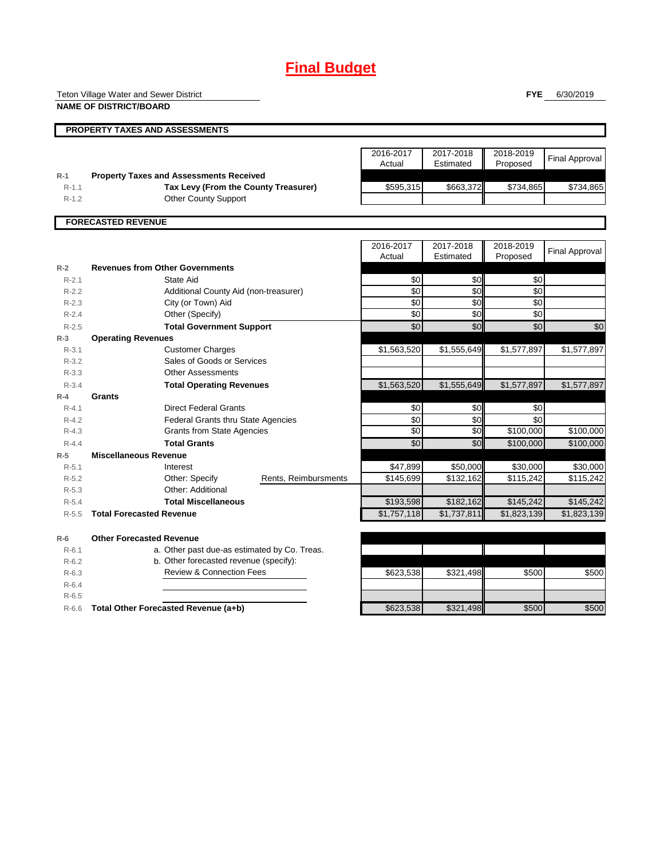# **Final Budget**

Teton Village Water and Sewer District

**NAME OF DISTRICT/BOARD**

**FYE** 6/30/2019

|           | <b>PROPERTY TAXES AND ASSESSMENTS</b>          |                     |                        |                       |                       |
|-----------|------------------------------------------------|---------------------|------------------------|-----------------------|-----------------------|
|           |                                                | 2016-2017<br>Actual | 2017-2018<br>Estimated | 2018-2019<br>Proposed | Final Approval        |
| $R-1$     | <b>Property Taxes and Assessments Received</b> |                     |                        |                       |                       |
| $R-1.1$   | Tax Levy (From the County Treasurer)           | \$595,315           | \$663,372              | \$734,865             | \$734,865             |
| $R-1.2$   | <b>Other County Support</b>                    |                     |                        |                       |                       |
|           |                                                |                     |                        |                       |                       |
|           | <b>FORECASTED REVENUE</b>                      |                     |                        |                       |                       |
|           |                                                |                     |                        |                       |                       |
|           |                                                | 2016-2017           | 2017-2018              | 2018-2019             | <b>Final Approval</b> |
|           |                                                | Actual              | Estimated              | Proposed              |                       |
| $R-2$     | <b>Revenues from Other Governments</b>         |                     |                        |                       |                       |
| $R - 2.1$ | State Aid                                      | \$0                 | \$0                    | \$0                   |                       |
| $R-2.2$   | Additional County Aid (non-treasurer)          | \$0                 | \$0                    | \$0                   |                       |
| $R-2.3$   | City (or Town) Aid                             | \$0                 | \$0                    | \$0                   |                       |
| $R-2.4$   | Other (Specify)                                | \$0                 | \$0                    | \$0                   |                       |
| $R-2.5$   | <b>Total Government Support</b>                | \$0                 | \$0                    | \$0                   | \$0                   |
| $R-3$     | <b>Operating Revenues</b>                      |                     |                        |                       |                       |

| $R-2$     | <b>Revenues from Other Governments</b>    |                                              |                      |             |             |             |             |
|-----------|-------------------------------------------|----------------------------------------------|----------------------|-------------|-------------|-------------|-------------|
| $R - 2.1$ |                                           | State Aid                                    |                      | \$0         | \$0         | \$0         |             |
| $R-2.2$   | Additional County Aid (non-treasurer)     |                                              |                      | $\sqrt{6}$  | \$0         | \$0         |             |
| $R - 2.3$ | City (or Town) Aid                        |                                              |                      | \$0         | \$0         | \$0         |             |
| $R - 2.4$ |                                           | Other (Specify)                              |                      | \$0         | \$0         | \$0         |             |
| $R - 2.5$ |                                           | <b>Total Government Support</b>              |                      | \$0         | \$0         | \$0         | \$0         |
| $R-3$     | <b>Operating Revenues</b>                 |                                              |                      |             |             |             |             |
| $R-3.1$   | <b>Customer Charges</b>                   |                                              |                      | \$1,563,520 | \$1,555,649 | \$1,577,897 | \$1,577,897 |
| $R - 3.2$ |                                           | Sales of Goods or Services                   |                      |             |             |             |             |
| $R - 3.3$ |                                           | <b>Other Assessments</b>                     |                      |             |             |             |             |
| $R - 3.4$ |                                           | <b>Total Operating Revenues</b>              |                      | \$1,563,520 | \$1,555,649 | \$1,577,897 | \$1,577,897 |
| $R-4$     | Grants                                    |                                              |                      |             |             |             |             |
| $R - 4.1$ |                                           | <b>Direct Federal Grants</b>                 |                      | \$0         | \$0         | \$0         |             |
| $R - 4.2$ | <b>Federal Grants thru State Agencies</b> |                                              | \$0                  | \$0         | \$0         |             |             |
| $R - 4.3$ | <b>Grants from State Agencies</b>         |                                              | \$0                  | \$0         | \$100,000   | \$100,000   |             |
| $R - 4.4$ |                                           | <b>Total Grants</b>                          |                      | \$0         | \$0         | \$100,000   | \$100,000   |
| $R-5$     | <b>Miscellaneous Revenue</b>              |                                              |                      |             |             |             |             |
| $R-5.1$   |                                           | Interest                                     |                      | \$47,899    | \$50,000    | \$30,000    | \$30,000    |
| $R-5.2$   |                                           | Other: Specify                               | Rents, Reimbursments | \$145,699   | \$132,162   | \$115,242   | \$115,242   |
| $R - 5.3$ |                                           | Other: Additional                            |                      |             |             |             |             |
| $R-5.4$   |                                           | <b>Total Miscellaneous</b>                   |                      | \$193,598   | \$182,162   | \$145,242   | \$145,242   |
| $R - 5.5$ | <b>Total Forecasted Revenue</b>           |                                              |                      | \$1,757,118 | \$1,737,811 | \$1,823,139 | \$1,823,139 |
| $R-6$     | <b>Other Forecasted Revenue</b>           |                                              |                      |             |             |             |             |
| $R - 6.1$ |                                           | a. Other past due-as estimated by Co. Treas. |                      |             |             |             |             |
| $R-6.2$   |                                           | b. Other forecasted revenue (specify):       |                      |             |             |             |             |
| $R-6.3$   |                                           | <b>Review &amp; Connection Fees</b>          |                      | \$623,538   | \$321,498   | \$500       | \$500       |
| $R-6.4$   |                                           |                                              |                      |             |             |             |             |
| $R - 6.5$ |                                           |                                              |                      |             |             |             |             |
| $R-6.6$   |                                           | Total Other Forecasted Revenue (a+b)         |                      | \$623,538   | \$321,498   | \$500       | \$500       |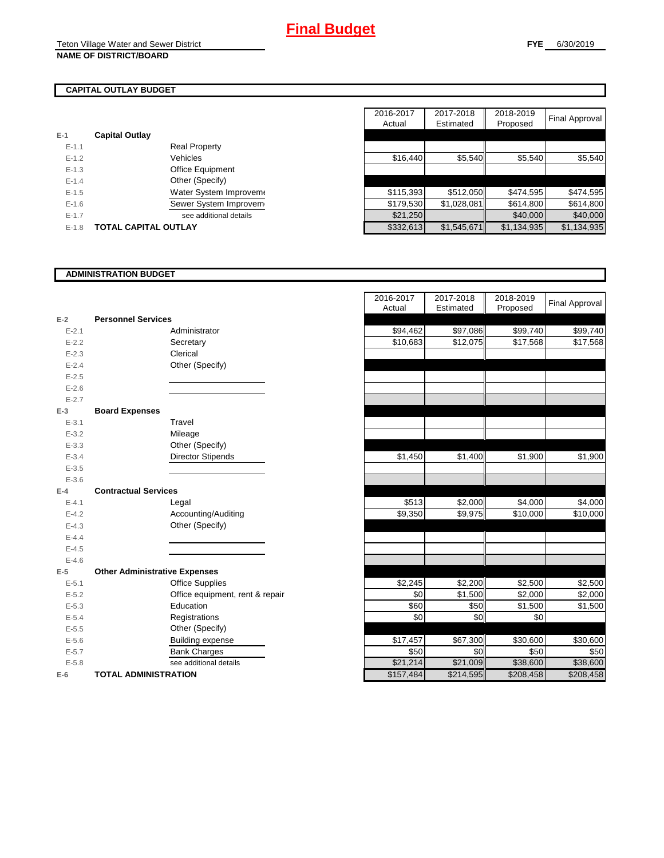# **CAPITAL OUTLAY BUDGET**

| $E-1$   | <b>Capital Outlay</b> |                         |
|---------|-----------------------|-------------------------|
| $F-11$  |                       | <b>Real Property</b>    |
| $F-12$  |                       | Vehicles                |
| $F-1.3$ |                       | <b>Office Equipment</b> |
| $F-14$  |                       | Other (Specify)         |
| $F-1.5$ |                       | Water System Improvem   |
| $F-16$  |                       | Sewer System Improvem   |
| $F-17$  |                       | see additional details  |
| $F-1.8$ | TOTAL CAPITAL OUTLAY  |                         |

|           |                             |                         | 2016-2017 | 2017-2018   | 2018-2019   |                |
|-----------|-----------------------------|-------------------------|-----------|-------------|-------------|----------------|
|           |                             |                         | Actual    | Estimated   | Proposed    | Final Approval |
|           | <b>Capital Outlay</b>       |                         |           |             |             |                |
| $E - 1.1$ |                             | <b>Real Property</b>    |           |             |             |                |
| $E - 1.2$ |                             | Vehicles                | \$16,440  | \$5,540     | \$5,540     | \$5,540        |
| $E-1.3$   |                             | <b>Office Equipment</b> |           |             |             |                |
| $E-1.4$   |                             | Other (Specify)         |           |             |             |                |
| $E-1.5$   |                             | Water System Improvem   | \$115,393 | \$512,050   | \$474,595   | \$474,595      |
| $E - 1.6$ |                             | Sewer System Improvem   | \$179,530 | \$1,028,081 | \$614,800   | \$614,800      |
| $E - 1.7$ |                             | see additional details  | \$21,250  |             | \$40,000    | \$40,000       |
| $E-1.8$   | <b>TOTAL CAPITAL OUTLAY</b> |                         | \$332,613 | \$1,545,671 | \$1,134,935 | \$1,134,935    |

# **ADMINISTRATION BUDGET**

|           |                                      |                                 | Actual    | Esumated  | Proposed  |
|-----------|--------------------------------------|---------------------------------|-----------|-----------|-----------|
| $E-2$     | <b>Personnel Services</b>            |                                 |           |           |           |
| $E - 2.1$ |                                      | Administrator                   | \$94,462  | \$97,086  | \$99,740  |
| $E-2.2$   |                                      | Secretary                       | \$10,683  | \$12,075  | \$17,568  |
| $E - 2.3$ |                                      | Clerical                        |           |           |           |
| $E - 2.4$ |                                      | Other (Specify)                 |           |           |           |
| $E - 2.5$ |                                      |                                 |           |           |           |
| $E-2.6$   |                                      |                                 |           |           |           |
| $E - 2.7$ |                                      |                                 |           |           |           |
| $E-3$     | <b>Board Expenses</b>                |                                 |           |           |           |
| $E - 3.1$ |                                      | Travel                          |           |           |           |
| $E - 3.2$ |                                      | Mileage                         |           |           |           |
| $E - 3.3$ |                                      | Other (Specify)                 |           |           |           |
| $E - 3.4$ |                                      | <b>Director Stipends</b>        | \$1,450   | \$1,400   | \$1,900   |
| $E - 3.5$ |                                      |                                 |           |           |           |
| $E - 3.6$ |                                      |                                 |           |           |           |
| $E-4$     | <b>Contractual Services</b>          |                                 |           |           |           |
| $E - 4.1$ |                                      | Legal                           | \$513     | \$2,000   | \$4,000   |
| $E - 4.2$ |                                      | Accounting/Auditing             | \$9,350   | \$9,975   | \$10,000  |
| $E - 4.3$ |                                      | Other (Specify)                 |           |           |           |
| $E - 4.4$ |                                      |                                 |           |           |           |
| $E - 4.5$ |                                      |                                 |           |           |           |
| $E-4.6$   |                                      |                                 |           |           |           |
| $E-5$     | <b>Other Administrative Expenses</b> |                                 |           |           |           |
| $E - 5.1$ |                                      | <b>Office Supplies</b>          | \$2,245   | \$2,200   | \$2,500   |
| $E-5.2$   |                                      | Office equipment, rent & repair | \$0       | \$1,500   | \$2,000   |
| $E - 5.3$ |                                      | Education                       | \$60      | \$50      | \$1,500   |
| $E - 5.4$ |                                      | Registrations                   | \$0       | \$0       | \$0       |
| $E-5.5$   |                                      | Other (Specify)                 |           |           |           |
| $E - 5.6$ |                                      | <b>Building expense</b>         | \$17,457  | \$67,300  | \$30,600  |
| $E - 5.7$ |                                      | <b>Bank Charges</b>             | \$50      | \$0       | \$50      |
| $E - 5.8$ |                                      | see additional details          | \$21,214  | \$21,009  | \$38,600  |
| $E-6$     | <b>TOTAL ADMINISTRATION</b>          |                                 | \$157,484 | \$214,595 | \$208,458 |

|           |                                      | 2016-2017 | 2017-2018            | 2018-2019 | <b>Final Approval</b> |
|-----------|--------------------------------------|-----------|----------------------|-----------|-----------------------|
|           |                                      | Actual    | Estimated            | Proposed  |                       |
| $E-2$     | <b>Personnel Services</b>            |           |                      |           |                       |
| $E - 2.1$ | Administrator                        | \$94,462  | $\overline{$97,086}$ | \$99,740  | \$99,740              |
| $E - 2.2$ | Secretary                            | \$10,683  | \$12,075             | \$17,568  | \$17,568              |
| $E - 2.3$ | Clerical                             |           |                      |           |                       |
| $E - 2.4$ | Other (Specify)                      |           |                      |           |                       |
| $E - 2.5$ |                                      |           |                      |           |                       |
| $E - 2.6$ |                                      |           |                      |           |                       |
| $E - 2.7$ |                                      |           |                      |           |                       |
| $E-3$     | <b>Board Expenses</b>                |           |                      |           |                       |
| $E - 3.1$ | Travel                               |           |                      |           |                       |
| $E - 3.2$ | Mileage                              |           |                      |           |                       |
| $E - 3.3$ | Other (Specify)                      |           |                      |           |                       |
| $E - 3.4$ | <b>Director Stipends</b>             | \$1,450   | \$1,400              | \$1,900   | \$1,900               |
| $E - 3.5$ |                                      |           |                      |           |                       |
| $E - 3.6$ |                                      |           |                      |           |                       |
| $E-4$     | <b>Contractual Services</b>          |           |                      |           |                       |
| $E - 4.1$ | Legal                                | \$513     | \$2,000              | \$4,000   | \$4,000               |
| $E - 4.2$ | Accounting/Auditing                  | \$9,350   | \$9,975              | \$10,000  | \$10,000              |
| $E - 4.3$ | Other (Specify)                      |           |                      |           |                       |
| $E-4.4$   |                                      |           |                      |           |                       |
| $E - 4.5$ |                                      |           |                      |           |                       |
| $E-4.6$   |                                      |           |                      |           |                       |
| $E-5$     | <b>Other Administrative Expenses</b> |           |                      |           |                       |
| $E - 5.1$ | <b>Office Supplies</b>               | \$2,245   | \$2,200              | \$2,500   | \$2,500               |
| $E - 5.2$ | Office equipment, rent & repair      | \$0       | \$1,500              | \$2,000   | \$2,000               |
| $E - 5.3$ | Education                            | \$60      | \$50                 | \$1,500   | \$1,500               |
| $E - 5.4$ | Registrations                        | \$0       | \$0                  | \$0       |                       |
| $E - 5.5$ | Other (Specify)                      |           |                      |           |                       |
| $E-5.6$   | <b>Building expense</b>              | \$17,457  | \$67,300             | \$30,600  | \$30,600              |
| $E - 5.7$ | <b>Bank Charges</b>                  | \$50      | \$0                  | \$50      | \$50                  |
| $E - 5.8$ | see additional details               | \$21,214  | \$21,009             | \$38,600  | \$38,600              |
| $E-6$     | <b>TOTAL ADMINISTRATION</b>          | \$157,484 | \$214,595            | \$208,458 | \$208,458             |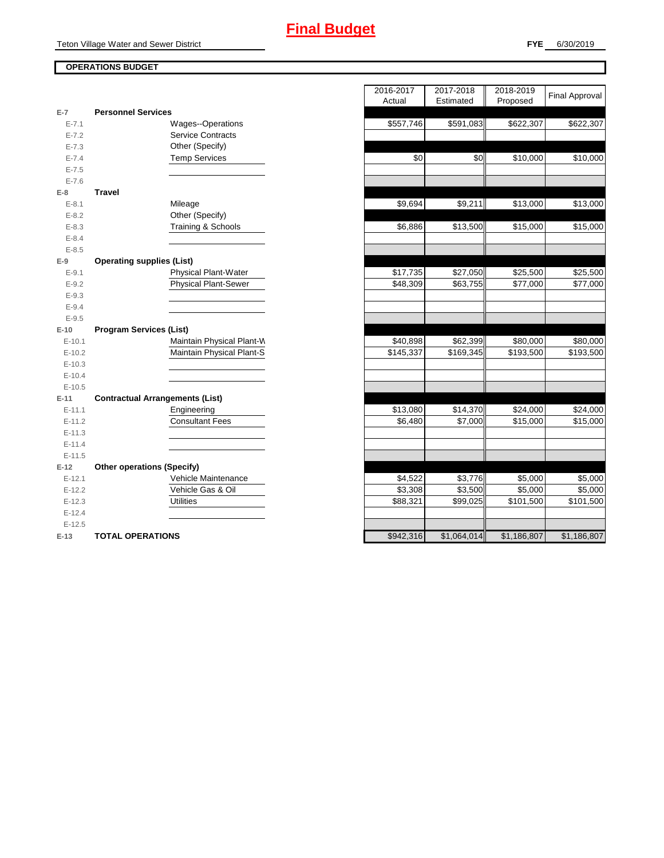# **OPERATIONS BUDGET**

| E-7        | <b>Personnel Services</b>              |
|------------|----------------------------------------|
| $E - 7.1$  | Wages--Operations                      |
| $E - 7.2$  | <b>Service Contracts</b>               |
| $E - 7.3$  | Other (Specify)                        |
| $E - 7.4$  | <b>Temp Services</b>                   |
| $E - 7.5$  |                                        |
| $E - 7.6$  |                                        |
| E-8        | <b>Travel</b>                          |
| $E - 8.1$  | Mileage                                |
| $E - 8.2$  | Other (Specify)                        |
| $E-8.3$    | Training & Schools                     |
| $E - 8.4$  |                                        |
| $E - 8.5$  |                                        |
| $E-9$      | <b>Operating supplies (List)</b>       |
| $E - 9.1$  | <b>Physical Plant-Water</b>            |
| $E-9.2$    | <b>Physical Plant-Sewer</b>            |
| $E - 9.3$  |                                        |
| $E - 9.4$  |                                        |
| $E - 9.5$  |                                        |
|            |                                        |
| $E-10$     | <b>Program Services (List)</b>         |
| $E-10.1$   | Maintain Physical Plant-W              |
| $E-10.2$   | Maintain Physical Plant-S              |
| $E-10.3$   |                                        |
| $E-10.4$   |                                        |
| $E-10.5$   |                                        |
| $E-11$     | <b>Contractual Arrangements (List)</b> |
| $E - 11.1$ | Engineering                            |
| $E-11.2$   | <b>Consultant Fees</b>                 |
| $E-11.3$   |                                        |
| $E-11.4$   |                                        |
| $E-11.5$   |                                        |
| $E-12$     | <b>Other operations (Specify)</b>      |
| $E-12.1$   | Vehicle Maintenance                    |
| $E-12.2$   | Vehicle Gas & Oil                      |
| $E-12.3$   | Utilities                              |
| $E-12.4$   |                                        |
| $E-12.5$   |                                        |

|                |                                        | 2016-2017<br>Actual | 2017-2018<br>Estimated | 2018-2019<br>Proposed | <b>Final Approval</b> |
|----------------|----------------------------------------|---------------------|------------------------|-----------------------|-----------------------|
| $\overline{7}$ | <b>Personnel Services</b>              |                     |                        |                       |                       |
| $E - 7.1$      | <b>Wages--Operations</b>               | \$557,746           | \$591,083              | \$622,307             | \$622,307             |
| $E - 7.2$      | <b>Service Contracts</b>               |                     |                        |                       |                       |
| $E - 7.3$      | Other (Specify)                        |                     |                        |                       |                       |
| $E - 7.4$      | <b>Temp Services</b>                   | \$0                 | \$0                    | \$10,000              | \$10,000              |
| $E - 7.5$      |                                        |                     |                        |                       |                       |
| $E - 7.6$      |                                        |                     |                        |                       |                       |
| 8              | <b>Travel</b>                          |                     |                        |                       |                       |
| $E - 8.1$      | Mileage                                | \$9,694             | \$9,211                | \$13,000              | \$13,000              |
| $E - 8.2$      | Other (Specify)                        |                     |                        |                       |                       |
| $E - 8.3$      | Training & Schools                     | \$6,886             | $\overline{$}13,500$   | \$15,000              | \$15,000              |
| $E - 8.4$      |                                        |                     |                        |                       |                       |
| $E-8.5$        |                                        |                     |                        |                       |                       |
| 9              | <b>Operating supplies (List)</b>       |                     |                        |                       |                       |
| $E - 9.1$      | <b>Physical Plant-Water</b>            | \$17,735            | \$27,050               | \$25,500              | \$25,500              |
| $E - 9.2$      | <b>Physical Plant-Sewer</b>            | \$48,309            | \$63,755               | \$77,000              | \$77,000              |
| $E - 9.3$      |                                        |                     |                        |                       |                       |
| $E - 9.4$      |                                        |                     |                        |                       |                       |
| $E - 9.5$      |                                        |                     |                        |                       |                       |
| 10             | <b>Program Services (List)</b>         |                     |                        |                       |                       |
| $E-10.1$       | Maintain Physical Plant-W              | \$40,898            | \$62,399               | \$80,000              | \$80,000              |
| $E-10.2$       | Maintain Physical Plant-S              | \$145,337           | \$169,345              | \$193,500             | \$193,500             |
| $E-10.3$       |                                        |                     |                        |                       |                       |
| $E-10.4$       |                                        |                     |                        |                       |                       |
| $E-10.5$       |                                        |                     |                        |                       |                       |
| $-11$          | <b>Contractual Arrangements (List)</b> |                     |                        |                       |                       |
| $E-11.1$       | Engineering                            | \$13,080            | \$14,370               | \$24,000              | \$24,000              |
| $E-11.2$       | <b>Consultant Fees</b>                 | \$6,480             | \$7,000                | \$15,000              | \$15,000              |
| $E-11.3$       |                                        |                     |                        |                       |                       |
| $E-11.4$       |                                        |                     |                        |                       |                       |
| $E-11.5$       |                                        |                     |                        |                       |                       |
| 12             | <b>Other operations (Specify)</b>      |                     |                        |                       |                       |
| $E-12.1$       | Vehicle Maintenance                    | \$4,522             | \$3,776                | \$5,000               | \$5,000               |
| $E-12.2$       | Vehicle Gas & Oil                      | \$3,308             | \$3,500                | \$5,000               | \$5,000               |
| $E-12.3$       | <b>Utilities</b>                       | \$88,321            | \$99,025               | \$101,500             | \$101,500             |
| $E-12.4$       |                                        |                     |                        |                       |                       |
| $E-12.5$       |                                        |                     |                        |                       |                       |
| $-13$          | <b>TOTAL OPERATIONS</b>                | \$942,316           | \$1.064.014            | \$1.186.807           | \$1.186,807           |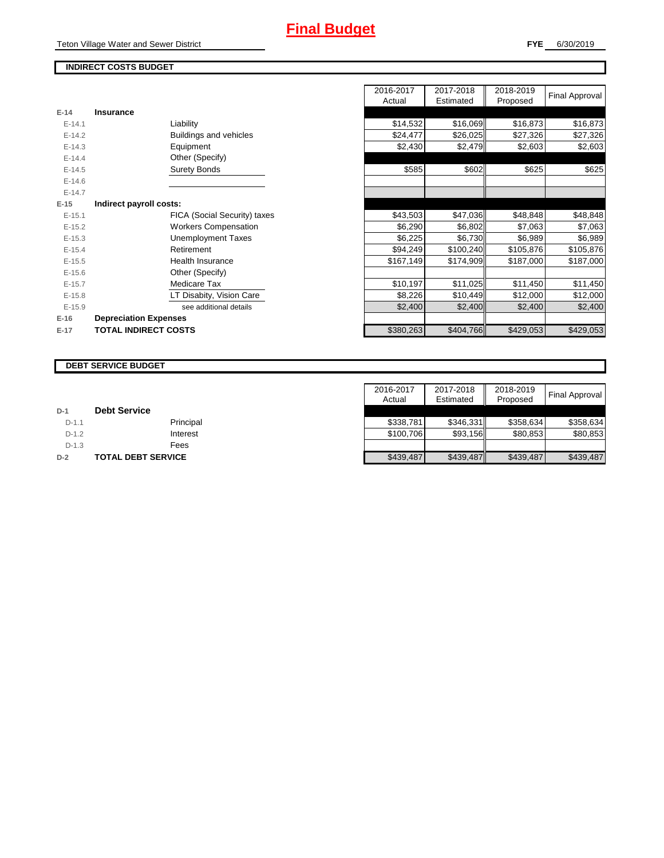Teton Village Water and Sewer District

# **INDIRECT COSTS BUDGET**

| E-14       | Insurance                    |
|------------|------------------------------|
| $F-141$    | Liability                    |
| $F-142$    | Buildings and vehicles       |
| $F-14.3$   | Equipment                    |
| $E-14.4$   | Other (Specify)              |
| $E-14.5$   | <b>Surety Bonds</b>          |
| $E - 14.6$ |                              |
| $F-147$    |                              |
| $E-15$     | Indirect payroll costs:      |
| $E - 15.1$ | FICA (Social Security) taxes |
| $E-15.2$   | <b>Workers Compensation</b>  |
| $E-15.3$   | <b>Unemployment Taxes</b>    |
| $E-15.4$   | Retirement                   |
| $E-15.5$   | Health Insurance             |
| $E - 15.6$ | Other (Specify)              |
| $E-15.7$   | Medicare Tax                 |
| $E-15.8$   | LT Disabity, Vision Care     |
| $E-15.9$   | see additional details       |
| $E-16$     | <b>Depreciation Expenses</b> |
| $E-17$     | <b>TOTAL INDIRECT COSTS</b>  |

|                               | 2016-2017<br>Actual | 2017-2018<br>Estimated | 2018-2019<br>Proposed | <b>Final Approval</b>                                                                                                                                                                                                                                                                            |
|-------------------------------|---------------------|------------------------|-----------------------|--------------------------------------------------------------------------------------------------------------------------------------------------------------------------------------------------------------------------------------------------------------------------------------------------|
| <b>Insurance</b>              |                     |                        |                       |                                                                                                                                                                                                                                                                                                  |
| Liability                     | \$14,532            |                        |                       | \$16,873                                                                                                                                                                                                                                                                                         |
| <b>Buildings and vehicles</b> | \$24,477            |                        |                       | \$27,326                                                                                                                                                                                                                                                                                         |
| Equipment                     | \$2,430             |                        |                       | \$2,603                                                                                                                                                                                                                                                                                          |
| Other (Specify)               |                     |                        |                       |                                                                                                                                                                                                                                                                                                  |
| <b>Surety Bonds</b>           | \$585               |                        |                       | \$625                                                                                                                                                                                                                                                                                            |
|                               |                     |                        |                       |                                                                                                                                                                                                                                                                                                  |
|                               |                     |                        |                       |                                                                                                                                                                                                                                                                                                  |
| Indirect payroll costs:       |                     |                        |                       |                                                                                                                                                                                                                                                                                                  |
| FICA (Social Security) taxes  | \$43,503            |                        |                       | \$48,848                                                                                                                                                                                                                                                                                         |
| <b>Workers Compensation</b>   | \$6,290             |                        |                       | \$7,063                                                                                                                                                                                                                                                                                          |
| Unemployment Taxes            | \$6,225             |                        |                       | \$6,989                                                                                                                                                                                                                                                                                          |
| Retirement                    | \$94,249            |                        |                       | \$105,876                                                                                                                                                                                                                                                                                        |
| <b>Health Insurance</b>       | \$167,149           |                        |                       | \$187,000                                                                                                                                                                                                                                                                                        |
| Other (Specify)               |                     |                        |                       |                                                                                                                                                                                                                                                                                                  |
| Medicare Tax                  | \$10,197            | \$11,025               |                       | \$11,450                                                                                                                                                                                                                                                                                         |
| LT Disabity, Vision Care      | \$8,226             |                        |                       | \$12,000                                                                                                                                                                                                                                                                                         |
| see additional details        | \$2,400             |                        |                       | \$2,400                                                                                                                                                                                                                                                                                          |
| <b>Depreciation Expenses</b>  |                     |                        |                       |                                                                                                                                                                                                                                                                                                  |
| <b>TOTAL INDIRECT COSTS</b>   | \$380,263           |                        |                       | \$429,053                                                                                                                                                                                                                                                                                        |
|                               |                     |                        |                       | \$16,069<br>\$16,873<br>\$26,025<br>\$27,326<br>\$2,479<br>\$2,603<br>\$602<br>\$625<br>\$47,036<br>\$48,848<br>\$6,802<br>\$7,063<br>\$6,730<br>\$6,989<br>\$100,240<br>\$105,876<br>\$174,909<br>\$187,000<br>\$11,450<br>\$10,449<br>\$12,000<br>\$2,400<br>\$2,400<br>\$404,766<br>\$429,053 |

#### **DEBT SERVICE BUDGET**

|         |                     | 2016-2017 | 2017-2018 | 2018-2019 |                |
|---------|---------------------|-----------|-----------|-----------|----------------|
|         |                     | Actual    | Estimated | Proposed  | Final Approval |
| $D-1$   | <b>Debt Service</b> |           |           |           |                |
| $D-1.1$ | Principal           | \$338.781 | \$346.331 | \$358.634 | \$358.634      |
| $D-1.2$ | Interest            | \$100.706 | \$93,156  | \$80.853  | \$80,853       |
| $D-1.3$ | Fees                |           |           |           |                |
| $D-2$   | TOTAL DEBT SERVICE  | \$439,487 | \$439,487 | \$439,487 | \$439.487      |